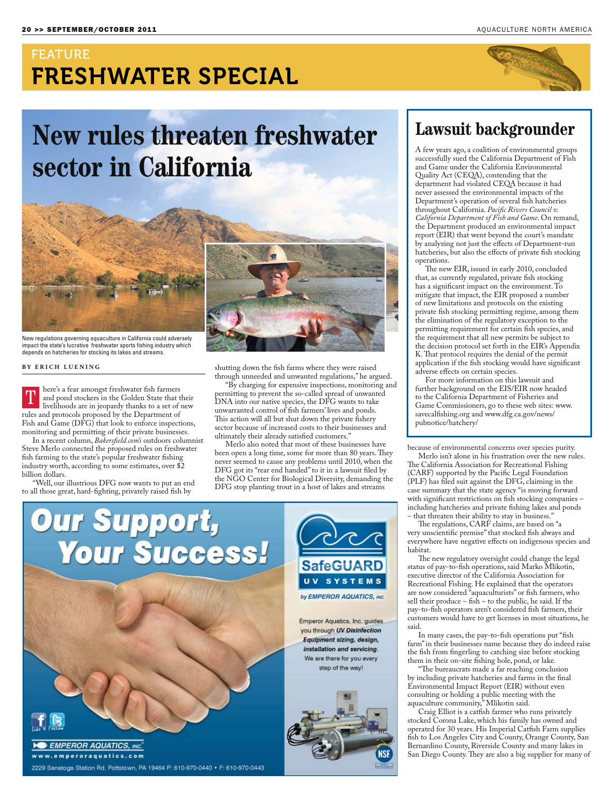### FEATURE FRESHWATER SPECIAL

# **New rules threaten freshwater sector in California**



New regulations governing aquaculture in California could adversely impact the state's lucrative freshwater sports fishing industry which depends on hatcheries for stocking its lakes and streams.

#### **By E r i c h L uenin g**

here's a fear amongst freshwater fish farmers and pond stockers in the Golden State that their livelihoods are in jeopardy thanks to a set of new rules and protocols proposed by the Department of Fish and Game (DFG) that look to enforce inspections, monitoring and permitting of their private businesses. T

In a recent column, *Bakersfield.com's* outdoors columnist Steve Merlo connected the proposed rules on freshwater fish farming to the state's popular freshwater fishing industry worth, according to some estimates, over \$2 billion dollars.

"Well, our illustrious DFG now wants to put an end to all those great, hard-fighting, privately raised fish by



shutting down the fish farms where they were raised through unneeded and unwanted regulations," he argued.

"By charging for expensive inspections, monitoring and permitting to prevent the so-called spread of unwanted DNA into our native species, the DFG wants to take unwarranted control of fish farmers' lives and ponds. This action will all but shut down the private fishery sector because of increased costs to their businesses and ultimately their already satisfied customers."

Merlo also noted that most of these businesses have been open a long time, some for more than 80 years. They never seemed to cause any problems until 2010, when the DFG got its "rear end handed" to it in a lawsuit filed by the NGO Center for Biological Diversity, demanding the DFG stop planting trout in a host of lakes and streams



### **Lawsuit backgrounder**

A few years ago, a coalition of environmental groups successfully sued the California Department of Fish and Game under the California Environmental Quality Act (CEQA), contending that the department had violated CEQA because it had never assessed the environmental impacts of the Department's operation of several fish hatcheries throughout California. *Pacific Rivers Council v. California Department of Fish and Game*. On remand, the Department produced an environmental impact report (EIR) that went beyond the court's mandate by analyzing not just the effects of Department-run hatcheries, but also the effects of private fish stocking operations.

The new EIR, issued in early 2010, concluded that, as currently regulated, private fish stocking has a significant impact on the environment. To mitigate that impact, the EIR proposed a number of new limitations and protocols on the existing private fish stocking permitting regime, among them the elimination of the regulatory exception to the permitting requirement for certain fish species, and the requirement that all new permits be subject to the decision protocol set forth in the EIR's Appendix K. That protocol requires the denial of the permit application if the fish stocking would have significant adverse effects on certain species.

For more information on this lawsuit and further background on the EIS/EIR now headed to the California Department of Fisheries and Game Commissioners, go to these web sites: www. savecalfishing.org and www.dfg.ca.gov/news/ pubnotice/hatchery/

because of environmental concerns over species purity.

Merlo isn't alone in his frustration over the new rules. The California Association for Recreational Fishing (CARF) supported by the Pacific Legal Foundation (PLF) has filed suit against the DFG, claiming in the case summary that the state agency "is moving forward with significant restrictions on fish stocking companies – including hatcheries and private fishing lakes and ponds – that threaten their ability to stay in business."

The regulations, CARF claims, are based on "a very unscientific premise" that stocked fish always and everywhere have negative effects on indigenous species and habitat.

The new regulatory oversight could change the legal status of pay-to-fish operations, said Marko Mlikotin, executive director of the California Association for Recreational Fishing. He explained that the operators are now considered "aquaculturists" or fish farmers, who sell their produce – fish – to the public, he said. If the pay-to-fish operators aren't considered fish farmers, their customers would have to get licenses in most situations, he said.

In many cases, the pay-to-fish operations put "fish farm" in their businesses name because they do indeed raise the fish from fingerling to catching size before stocking them in their on-site fishing hole, pond, or lake.

"The bureaucrats made a far reaching conclusion by including private hatcheries and farms in the final Environmental Impact Report (EIR) without even consulting or holding a public meeting with the aquaculture community," Mlikotin said.

Craig Elliot is a catfish farmer who runs privately stocked Corona Lake, which his family has owned and operated for 30 years. His Imperial Catfish Farm supplies fish to Los Angeles City and County, Orange County, San Bernardino County, Riverside County and many lakes in San Diego County. They are also a big supplier for many of